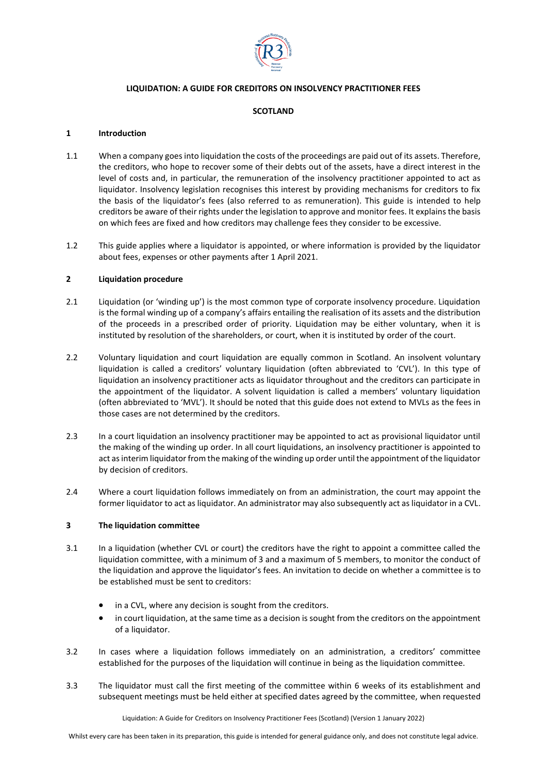

# **LIQUIDATION: A GUIDE FOR CREDITORS ON INSOLVENCY PRACTITIONER FEES**

## **SCOTLAND**

## **1 Introduction**

- 1.1 When a company goes into liquidation the costs of the proceedings are paid out of its assets. Therefore, the creditors, who hope to recover some of their debts out of the assets, have a direct interest in the level of costs and, in particular, the remuneration of the insolvency practitioner appointed to act as liquidator. Insolvency legislation recognises this interest by providing mechanisms for creditors to fix the basis of the liquidator's fees (also referred to as remuneration). This guide is intended to help creditors be aware of their rights under the legislation to approve and monitor fees. It explains the basis on which fees are fixed and how creditors may challenge fees they consider to be excessive.
- 1.2 This guide applies where a liquidator is appointed, or where information is provided by the liquidator about fees, expenses or other payments after 1 April 2021.

## **2 Liquidation procedure**

- 2.1 Liquidation (or 'winding up') is the most common type of corporate insolvency procedure. Liquidation is the formal winding up of a company's affairs entailing the realisation of its assets and the distribution of the proceeds in a prescribed order of priority. Liquidation may be either voluntary, when it is instituted by resolution of the shareholders, or court, when it is instituted by order of the court.
- 2.2 Voluntary liquidation and court liquidation are equally common in Scotland. An insolvent voluntary liquidation is called a creditors' voluntary liquidation (often abbreviated to 'CVL'). In this type of liquidation an insolvency practitioner acts as liquidator throughout and the creditors can participate in the appointment of the liquidator. A solvent liquidation is called a members' voluntary liquidation (often abbreviated to 'MVL'). It should be noted that this guide does not extend to MVLs as the fees in those cases are not determined by the creditors.
- 2.3 In a court liquidation an insolvency practitioner may be appointed to act as provisional liquidator until the making of the winding up order. In all court liquidations, an insolvency practitioner is appointed to act as interim liquidator from the making of the winding up order until the appointment of the liquidator by decision of creditors.
- 2.4 Where a court liquidation follows immediately on from an administration, the court may appoint the former liquidator to act as liquidator. An administrator may also subsequently act as liquidator in a CVL.

#### **3 The liquidation committee**

- 3.1 In a liquidation (whether CVL or court) the creditors have the right to appoint a committee called the liquidation committee, with a minimum of 3 and a maximum of 5 members, to monitor the conduct of the liquidation and approve the liquidator's fees. An invitation to decide on whether a committee is to be established must be sent to creditors:
	- in a CVL, where any decision is sought from the creditors.
	- in court liquidation, at the same time as a decision is sought from the creditors on the appointment of a liquidator.
- 3.2 In cases where a liquidation follows immediately on an administration, a creditors' committee established for the purposes of the liquidation will continue in being as the liquidation committee.
- 3.3 The liquidator must call the first meeting of the committee within 6 weeks of its establishment and subsequent meetings must be held either at specified dates agreed by the committee, when requested

Liquidation: A Guide for Creditors on Insolvency Practitioner Fees (Scotland) (Version 1 January 2022)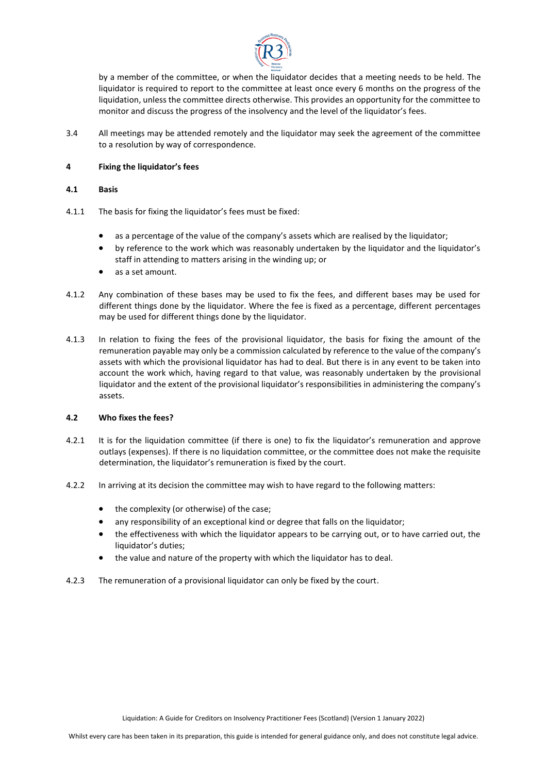

by a member of the committee, or when the liquidator decides that a meeting needs to be held. The liquidator is required to report to the committee at least once every 6 months on the progress of the liquidation, unless the committee directs otherwise. This provides an opportunity for the committee to monitor and discuss the progress of the insolvency and the level of the liquidator's fees.

3.4 All meetings may be attended remotely and the liquidator may seek the agreement of the committee to a resolution by way of correspondence.

# **4 Fixing the liquidator's fees**

# **4.1 Basis**

- 4.1.1 The basis for fixing the liquidator's fees must be fixed:
	- as a percentage of the value of the company's assets which are realised by the liquidator;
	- by reference to the work which was reasonably undertaken by the liquidator and the liquidator's staff in attending to matters arising in the winding up; or
	- as a set amount.
- 4.1.2 Any combination of these bases may be used to fix the fees, and different bases may be used for different things done by the liquidator. Where the fee is fixed as a percentage, different percentages may be used for different things done by the liquidator.
- 4.1.3 In relation to fixing the fees of the provisional liquidator, the basis for fixing the amount of the remuneration payable may only be a commission calculated by reference to the value of the company's assets with which the provisional liquidator has had to deal. But there is in any event to be taken into account the work which, having regard to that value, was reasonably undertaken by the provisional liquidator and the extent of the provisional liquidator's responsibilities in administering the company's assets.

# **4.2 Who fixes the fees?**

- 4.2.1 It is for the liquidation committee (if there is one) to fix the liquidator's remuneration and approve outlays (expenses). If there is no liquidation committee, or the committee does not make the requisite determination, the liquidator's remuneration is fixed by the court.
- 4.2.2 In arriving at its decision the committee may wish to have regard to the following matters:
	- the complexity (or otherwise) of the case;
	- any responsibility of an exceptional kind or degree that falls on the liquidator;
	- the effectiveness with which the liquidator appears to be carrying out, or to have carried out, the liquidator's duties;
	- the value and nature of the property with which the liquidator has to deal.
- 4.2.3 The remuneration of a provisional liquidator can only be fixed by the court.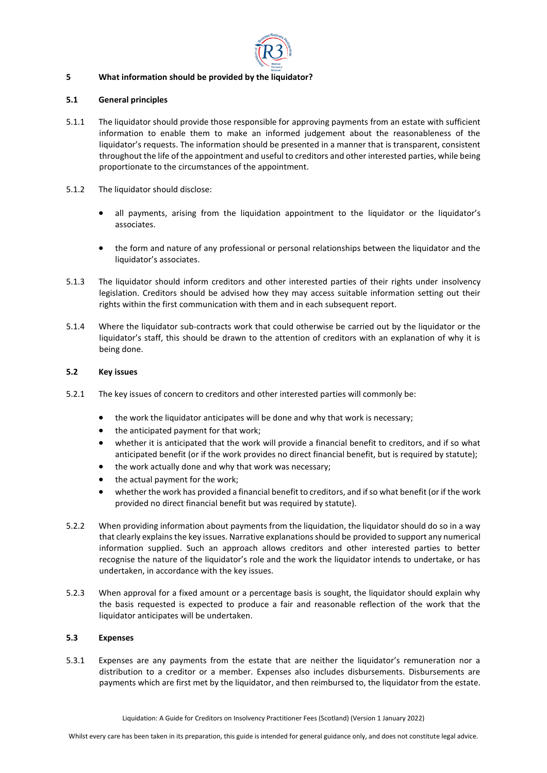

# **5 What information should be provided by the liquidator?**

## **5.1 General principles**

- 5.1.1 The liquidator should provide those responsible for approving payments from an estate with sufficient information to enable them to make an informed judgement about the reasonableness of the liquidator's requests. The information should be presented in a manner that is transparent, consistent throughout the life of the appointment and useful to creditors and other interested parties, while being proportionate to the circumstances of the appointment.
- 5.1.2 The liquidator should disclose:
	- all payments, arising from the liquidation appointment to the liquidator or the liquidator's associates.
	- the form and nature of any professional or personal relationships between the liquidator and the liquidator's associates.
- 5.1.3 The liquidator should inform creditors and other interested parties of their rights under insolvency legislation. Creditors should be advised how they may access suitable information setting out their rights within the first communication with them and in each subsequent report.
- 5.1.4 Where the liquidator sub-contracts work that could otherwise be carried out by the liquidator or the liquidator's staff, this should be drawn to the attention of creditors with an explanation of why it is being done.

## **5.2 Key issues**

- 5.2.1 The key issues of concern to creditors and other interested parties will commonly be:
	- the work the liquidator anticipates will be done and why that work is necessary;
	- the anticipated payment for that work;
	- whether it is anticipated that the work will provide a financial benefit to creditors, and if so what anticipated benefit (or if the work provides no direct financial benefit, but is required by statute);
	- the work actually done and why that work was necessary;
	- the actual payment for the work;
	- whether the work has provided a financial benefit to creditors, and if so what benefit (or if the work provided no direct financial benefit but was required by statute).
- 5.2.2 When providing information about payments from the liquidation, the liquidator should do so in a way that clearly explains the key issues. Narrative explanations should be provided to support any numerical information supplied. Such an approach allows creditors and other interested parties to better recognise the nature of the liquidator's role and the work the liquidator intends to undertake, or has undertaken, in accordance with the key issues.
- 5.2.3 When approval for a fixed amount or a percentage basis is sought, the liquidator should explain why the basis requested is expected to produce a fair and reasonable reflection of the work that the liquidator anticipates will be undertaken.

# **5.3 Expenses**

5.3.1 Expenses are any payments from the estate that are neither the liquidator's remuneration nor a distribution to a creditor or a member. Expenses also includes disbursements. Disbursements are payments which are first met by the liquidator, and then reimbursed to, the liquidator from the estate.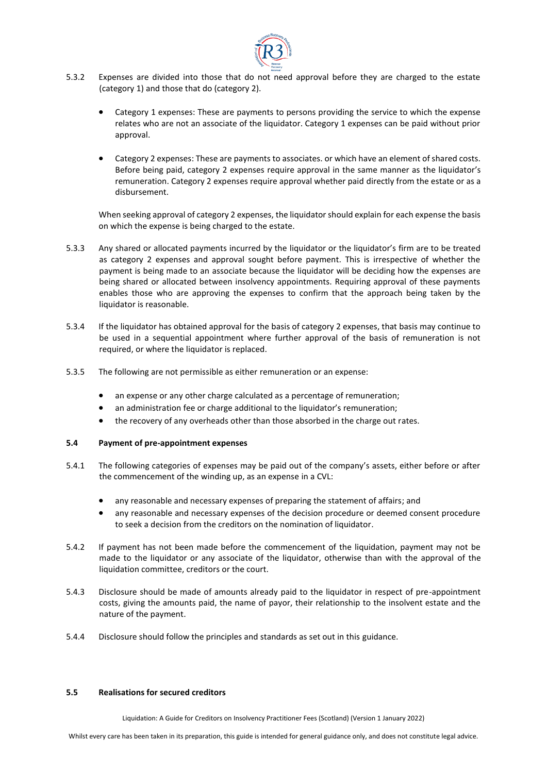

- 5.3.2 Expenses are divided into those that do not need approval before they are charged to the estate (category 1) and those that do (category 2).
	- Category 1 expenses: These are payments to persons providing the service to which the expense relates who are not an associate of the liquidator. Category 1 expenses can be paid without prior approval.
	- Category 2 expenses: These are payments to associates. or which have an element of shared costs. Before being paid, category 2 expenses require approval in the same manner as the liquidator's remuneration. Category 2 expenses require approval whether paid directly from the estate or as a disbursement.

When seeking approval of category 2 expenses, the liquidator should explain for each expense the basis on which the expense is being charged to the estate.

- 5.3.3 Any shared or allocated payments incurred by the liquidator or the liquidator's firm are to be treated as category 2 expenses and approval sought before payment. This is irrespective of whether the payment is being made to an associate because the liquidator will be deciding how the expenses are being shared or allocated between insolvency appointments. Requiring approval of these payments enables those who are approving the expenses to confirm that the approach being taken by the liquidator is reasonable.
- 5.3.4 If the liquidator has obtained approval for the basis of category 2 expenses, that basis may continue to be used in a sequential appointment where further approval of the basis of remuneration is not required, or where the liquidator is replaced.
- 5.3.5 The following are not permissible as either remuneration or an expense:
	- an expense or any other charge calculated as a percentage of remuneration;
	- an administration fee or charge additional to the liquidator's remuneration:
	- the recovery of any overheads other than those absorbed in the charge out rates.

#### **5.4 Payment of pre-appointment expenses**

- 5.4.1 The following categories of expenses may be paid out of the company's assets, either before or after the commencement of the winding up, as an expense in a CVL:
	- any reasonable and necessary expenses of preparing the statement of affairs; and
	- any reasonable and necessary expenses of the decision procedure or deemed consent procedure to seek a decision from the creditors on the nomination of liquidator.
- 5.4.2 If payment has not been made before the commencement of the liquidation, payment may not be made to the liquidator or any associate of the liquidator, otherwise than with the approval of the liquidation committee, creditors or the court.
- 5.4.3 Disclosure should be made of amounts already paid to the liquidator in respect of pre-appointment costs, giving the amounts paid, the name of payor, their relationship to the insolvent estate and the nature of the payment.
- 5.4.4 Disclosure should follow the principles and standards as set out in this guidance.

#### **5.5 Realisations for secured creditors**

Liquidation: A Guide for Creditors on Insolvency Practitioner Fees (Scotland) (Version 1 January 2022)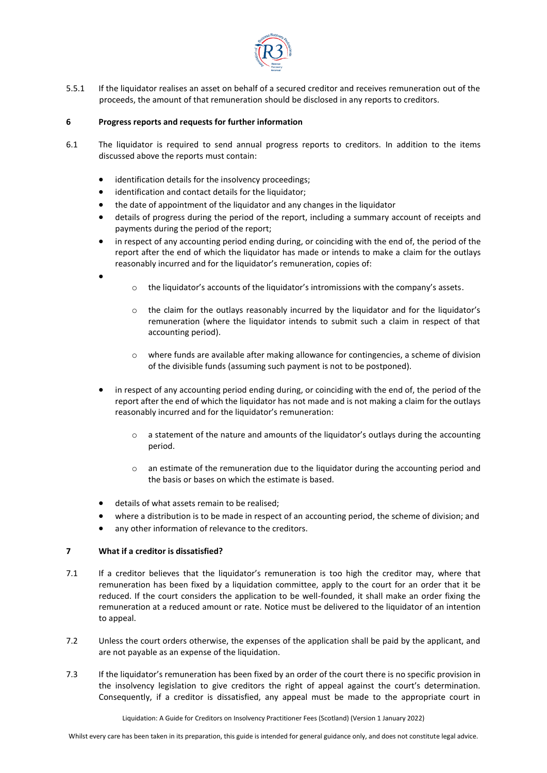

5.5.1 If the liquidator realises an asset on behalf of a secured creditor and receives remuneration out of the proceeds, the amount of that remuneration should be disclosed in any reports to creditors.

## **6 Progress reports and requests for further information**

- 6.1 The liquidator is required to send annual progress reports to creditors. In addition to the items discussed above the reports must contain:
	- identification details for the insolvency proceedings;
	- identification and contact details for the liquidator;
	- the date of appointment of the liquidator and any changes in the liquidator
	- details of progress during the period of the report, including a summary account of receipts and payments during the period of the report;
	- in respect of any accounting period ending during, or coinciding with the end of, the period of the report after the end of which the liquidator has made or intends to make a claim for the outlays reasonably incurred and for the liquidator's remuneration, copies of:
	- •
- o the liquidator's accounts of the liquidator's intromissions with the company's assets.
- o the claim for the outlays reasonably incurred by the liquidator and for the liquidator's remuneration (where the liquidator intends to submit such a claim in respect of that accounting period).
- o where funds are available after making allowance for contingencies, a scheme of division of the divisible funds (assuming such payment is not to be postponed).
- in respect of any accounting period ending during, or coinciding with the end of, the period of the report after the end of which the liquidator has not made and is not making a claim for the outlays reasonably incurred and for the liquidator's remuneration:
	- o a statement of the nature and amounts of the liquidator's outlays during the accounting period.
	- $\circ$  an estimate of the remuneration due to the liquidator during the accounting period and the basis or bases on which the estimate is based.
- details of what assets remain to be realised;
- where a distribution is to be made in respect of an accounting period, the scheme of division; and
- any other information of relevance to the creditors.

#### **7 What if a creditor is dissatisfied?**

- 7.1 If a creditor believes that the liquidator's remuneration is too high the creditor may, where that remuneration has been fixed by a liquidation committee, apply to the court for an order that it be reduced. If the court considers the application to be well-founded, it shall make an order fixing the remuneration at a reduced amount or rate. Notice must be delivered to the liquidator of an intention to appeal.
- 7.2 Unless the court orders otherwise, the expenses of the application shall be paid by the applicant, and are not payable as an expense of the liquidation.
- 7.3 If the liquidator's remuneration has been fixed by an order of the court there is no specific provision in the insolvency legislation to give creditors the right of appeal against the court's determination. Consequently, if a creditor is dissatisfied, any appeal must be made to the appropriate court in

Liquidation: A Guide for Creditors on Insolvency Practitioner Fees (Scotland) (Version 1 January 2022)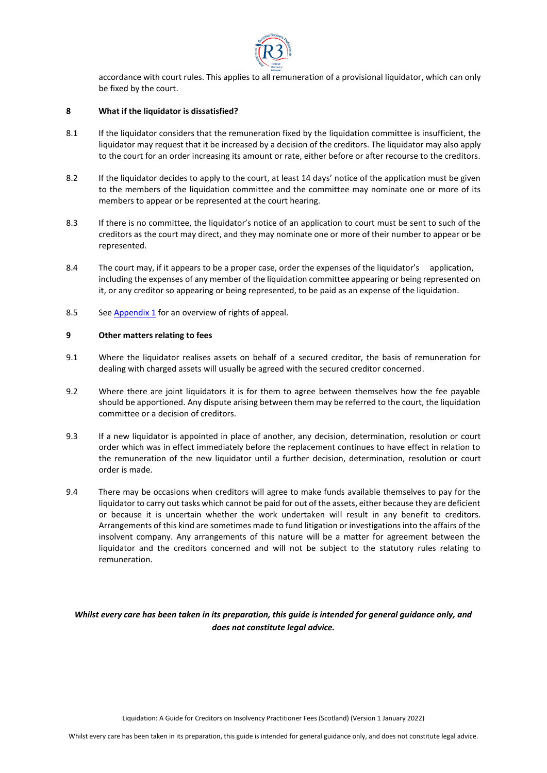

accordance with court rules. This applies to all remuneration of a provisional liquidator, which can only be fixed by the court.

## **8 What if the liquidator is dissatisfied?**

- 8.1 If the liquidator considers that the remuneration fixed by the liquidation committee is insufficient, the liquidator may request that it be increased by a decision of the creditors. The liquidator may also apply to the court for an order increasing its amount or rate, either before or after recourse to the creditors.
- 8.2 If the liquidator decides to apply to the court, at least 14 days' notice of the application must be given to the members of the liquidation committee and the committee may nominate one or more of its members to appear or be represented at the court hearing.
- 8.3 If there is no committee, the liquidator's notice of an application to court must be sent to such of the creditors as the court may direct, and they may nominate one or more of their number to appear or be represented.
- 8.4 The court may, if it appears to be a proper case, order the expenses of the liquidator's application, including the expenses of any member of the liquidation committee appearing or being represented on it, or any creditor so appearing or being represented, to be paid as an expense of the liquidation.
- 8.5 See [Appendix 1](#page-6-0) for an overview of rights of appeal.

## **9 Other matters relating to fees**

- 9.1 Where the liquidator realises assets on behalf of a secured creditor, the basis of remuneration for dealing with charged assets will usually be agreed with the secured creditor concerned.
- 9.2 Where there are joint liquidators it is for them to agree between themselves how the fee payable should be apportioned. Any dispute arising between them may be referred to the court, the liquidation committee or a decision of creditors.
- 9.3 If a new liquidator is appointed in place of another, any decision, determination, resolution or court order which was in effect immediately before the replacement continues to have effect in relation to the remuneration of the new liquidator until a further decision, determination, resolution or court order is made.
- 9.4 There may be occasions when creditors will agree to make funds available themselves to pay for the liquidator to carry out tasks which cannot be paid for out of the assets, either because they are deficient or because it is uncertain whether the work undertaken will result in any benefit to creditors. Arrangements of this kind are sometimes made to fund litigation or investigations into the affairs of the insolvent company. Any arrangements of this nature will be a matter for agreement between the liquidator and the creditors concerned and will not be subject to the statutory rules relating to remuneration.

# *Whilst every care has been taken in its preparation, this guide is intended for general guidance only, and does not constitute legal advice.*